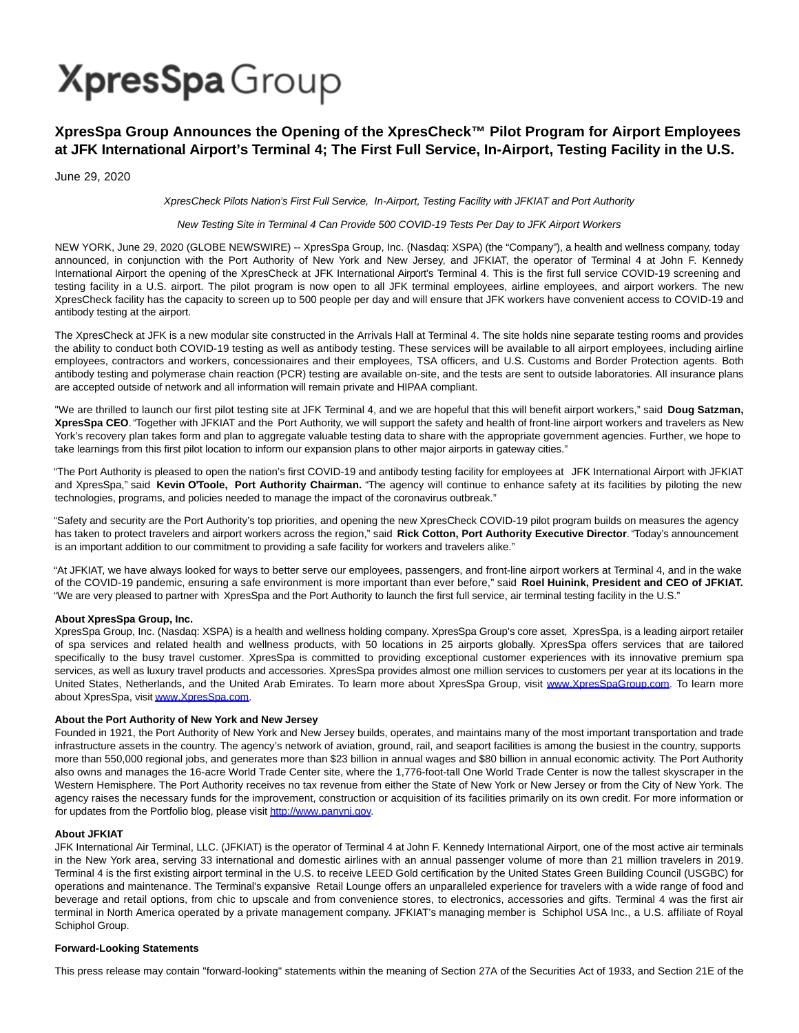# **XpresSpa** Group

### **XpresSpa Group Announces the Opening of the XpresCheck™ Pilot Program for Airport Employees at JFK International Airport's Terminal 4; The First Full Service, In-Airport, Testing Facility in the U.S.**

June 29, 2020

XpresCheck Pilots Nation's First Full Service, In-Airport, Testing Facility with JFKIAT and Port Authority

#### New Testing Site in Terminal 4 Can Provide 500 COVID-19 Tests Per Day to JFK Airport Workers

NEW YORK, June 29, 2020 (GLOBE NEWSWIRE) -- XpresSpa Group, Inc. (Nasdaq: XSPA) (the "Company"), a health and wellness company, today announced, in conjunction with the Port Authority of New York and New Jersey, and JFKIAT, the operator of Terminal 4 at John F. Kennedy International Airport the opening of the XpresCheck at JFK International Airport's Terminal 4. This is the first full service COVID-19 screening and testing facility in a U.S. airport. The pilot program is now open to all JFK terminal employees, airline employees, and airport workers. The new XpresCheck facility has the capacity to screen up to 500 people per day and will ensure that JFK workers have convenient access to COVID-19 and antibody testing at the airport.

The XpresCheck at JFK is a new modular site constructed in the Arrivals Hall at Terminal 4. The site holds nine separate testing rooms and provides the ability to conduct both COVID-19 testing as well as antibody testing. These services will be available to all airport employees, including airline employees, contractors and workers, concessionaires and their employees, TSA officers, and U.S. Customs and Border Protection agents. Both antibody testing and polymerase chain reaction (PCR) testing are available on-site, and the tests are sent to outside laboratories. All insurance plans are accepted outside of network and all information will remain private and HIPAA compliant.

"We are thrilled to launch our first pilot testing site at JFK Terminal 4, and we are hopeful that this will benefit airport workers," said **Doug Satzman, XpresSpa CEO**. "Together with JFKIAT and the Port Authority, we will support the safety and health of front-line airport workers and travelers as New York's recovery plan takes form and plan to aggregate valuable testing data to share with the appropriate government agencies. Further, we hope to take learnings from this first pilot location to inform our expansion plans to other major airports in gateway cities."

"The Port Authority is pleased to open the nation's first COVID-19 and antibody testing facility for employees at JFK International Airport with JFKIAT and XpresSpa," said **Kevin O'Toole, Port Authority Chairman.** "The agency will continue to enhance safety at its facilities by piloting the new technologies, programs, and policies needed to manage the impact of the coronavirus outbreak."

"Safety and security are the Port Authority's top priorities, and opening the new XpresCheck COVID-19 pilot program builds on measures the agency has taken to protect travelers and airport workers across the region," said **Rick Cotton, Port Authority Executive Director**. "Today's announcement is an important addition to our commitment to providing a safe facility for workers and travelers alike."

"At JFKIAT, we have always looked for ways to better serve our employees, passengers, and front-line airport workers at Terminal 4, and in the wake of the COVID-19 pandemic, ensuring a safe environment is more important than ever before," said **Roel Huinink, President and CEO of JFKIAT.** "We are very pleased to partner with XpresSpa and the Port Authority to launch the first full service, air terminal testing facility in the U.S."

#### **About XpresSpa Group, Inc.**

XpresSpa Group, Inc. (Nasdaq: XSPA) is a health and wellness holding company. XpresSpa Group's core asset, XpresSpa, is a leading airport retailer of spa services and related health and wellness products, with 50 locations in 25 airports globally. XpresSpa offers services that are tailored specifically to the busy travel customer. XpresSpa is committed to providing exceptional customer experiences with its innovative premium spa services, as well as luxury travel products and accessories. XpresSpa provides almost one million services to customers per year at its locations in the United States, Netherlands, and the United Arab Emirates. To learn more about XpresSpa Group, visit [www.XpresSpaGroup.com.](http://www.xpresspagroup.com/) To learn more about XpresSpa, visi[t www.XpresSpa.com.](http://www.xpresspa.com/)

#### **About the Port Authority of New York and New Jersey**

Founded in 1921, the Port Authority of New York and New Jersey builds, operates, and maintains many of the most important transportation and trade infrastructure assets in the country. The agency's network of aviation, ground, rail, and seaport facilities is among the busiest in the country, supports more than 550,000 regional jobs, and generates more than \$23 billion in annual wages and \$80 billion in annual economic activity. The Port Authority also owns and manages the 16-acre World Trade Center site, where the 1,776-foot-tall One World Trade Center is now the tallest skyscraper in the Western Hemisphere. The Port Authority receives no tax revenue from either the State of New York or New Jersey or from the City of New York. The agency raises the necessary funds for the improvement, construction or acquisition of its facilities primarily on its own credit. For more information or for updates from the Portfolio blog, please visi[t http://www.panynj.gov.](https://www.globenewswire.com/Tracker?data=GtPqg2Qjup2oy7IsaYiTKaOzR6900OvwbeUYOT0lmVbzESYweqzafBaEuJKdXMGLNOhl_-5ZccViNDK531bK5MzdPWL0-FZz2N-oMRPKAQ8=)

#### **About JFKIAT**

JFK International Air Terminal, LLC. (JFKIAT) is the operator of Terminal 4 at John F. Kennedy International Airport, one of the most active air terminals in the New York area, serving 33 international and domestic airlines with an annual passenger volume of more than 21 million travelers in 2019. Terminal 4 is the first existing airport terminal in the U.S. to receive LEED Gold certification by the United States Green Building Council (USGBC) for operations and maintenance. The Terminal's expansive Retail Lounge offers an unparalleled experience for travelers with a wide range of food and beverage and retail options, from chic to upscale and from convenience stores, to electronics, accessories and gifts. Terminal 4 was the first air terminal in North America operated by a private management company. JFKIAT's managing member is Schiphol USA Inc., a U.S. affiliate of Royal Schiphol Group.

#### **Forward-Looking Statements**

This press release may contain "forward-looking" statements within the meaning of Section 27A of the Securities Act of 1933, and Section 21E of the